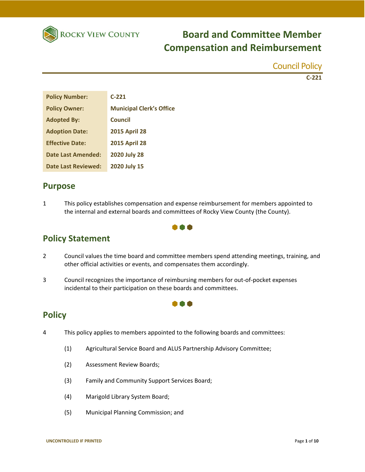

Council Policy

**C‐221**

| <b>Policy Number:</b>     | $C-221$                         |
|---------------------------|---------------------------------|
| <b>Policy Owner:</b>      | <b>Municipal Clerk's Office</b> |
| <b>Adopted By:</b>        | Council                         |
| <b>Adoption Date:</b>     | <b>2015 April 28</b>            |
| <b>Effective Date:</b>    | <b>2015 April 28</b>            |
| <b>Date Last Amended:</b> | <b>2020 July 28</b>             |
| Date Last Reviewed:       | 2020 July 15                    |

## **Purpose**

1 This policy establishes compensation and expense reimbursement for members appointed to the internal and external boards and committees of Rocky View County (the County).



## **Policy Statement**

2 Council values the time board and committee members spend attending meetings, training, and other official activities or events, and compensates them accordingly.

**A** 

3 Council recognizes the importance of reimbursing members for out‐of‐pocket expenses incidental to their participation on these boards and committees.

## **Policy**

- 4 This policy applies to members appointed to the following boards and committees:
	- (1) Agricultural Service Board and ALUS Partnership Advisory Committee;
	- (2) Assessment Review Boards;
	- (3) Family and Community Support Services Board;
	- (4) Marigold Library System Board;
	- (5) Municipal Planning Commission; and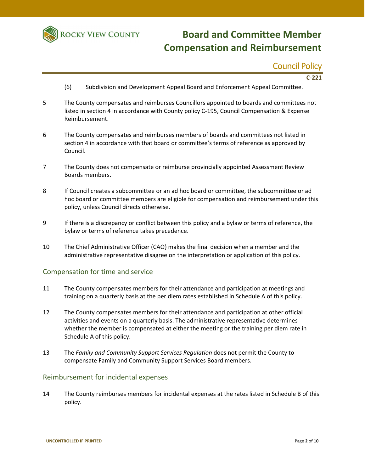

## Council Policy

**C‐221**

- (6) Subdivision and Development Appeal Board and Enforcement Appeal Committee.
- 5 The County compensates and reimburses Councillors appointed to boards and committees not listed in section 4 in accordance with County policy C‐195, Council Compensation & Expense Reimbursement.
- 6 The County compensates and reimburses members of boards and committees not listed in section 4 in accordance with that board or committee's terms of reference as approved by Council.
- 7 The County does not compensate or reimburse provincially appointed Assessment Review Boards members.
- 8 If Council creates a subcommittee or an ad hoc board or committee, the subcommittee or ad hoc board or committee members are eligible for compensation and reimbursement under this policy, unless Council directs otherwise.
- 9 If there is a discrepancy or conflict between this policy and a bylaw or terms of reference, the bylaw or terms of reference takes precedence.
- 10 The Chief Administrative Officer (CAO) makes the final decision when a member and the administrative representative disagree on the interpretation or application of this policy.

#### Compensation for time and service

- 11 The County compensates members for their attendance and participation at meetings and training on a quarterly basis at the per diem rates established in Schedule A of this policy.
- 12 The County compensates members for their attendance and participation at other official activities and events on a quarterly basis. The administrative representative determines whether the member is compensated at either the meeting or the training per diem rate in Schedule A of this policy.
- 13 The *Family and Community Support Services Regulation* does not permit the County to compensate Family and Community Support Services Board members.

#### Reimbursement for incidental expenses

14 The County reimburses members for incidental expenses at the rates listed in Schedule B of this policy.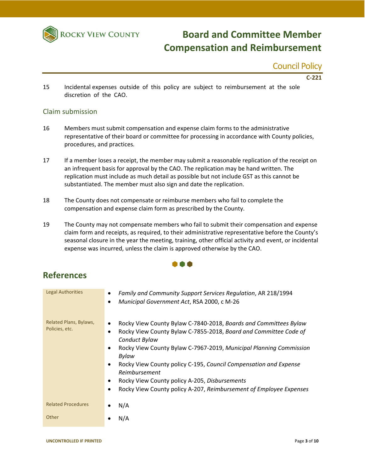

### Council Policy

**C‐221**

15 Incidental expenses outside of this policy are subject to reimbursement at the sole discretion of the CAO.

#### Claim submission

- 16 Members must submit compensation and expense claim forms to the administrative representative of their board or committee for processing in accordance with County policies, procedures, and practices*.*
- 17 If a member loses a receipt, the member may submit a reasonable replication of the receipt on an infrequent basis for approval by the CAO. The replication may be hand written. The replication must include as much detail as possible but not include GST as this cannot be substantiated. The member must also sign and date the replication.
- 18 The County does not compensate or reimburse members who fail to complete the compensation and expense claim form as prescribed by the County.
- 19 The County may not compensate members who fail to submit their compensation and expense claim form and receipts, as required, to their administrative representative before the County's seasonal closure in the year the meeting, training, other official activity and event, or incidental expense was incurred, unless the claim is approved otherwise by the CAO.

### 000

## **References**

| <b>Legal Authorities</b>                 | Family and Community Support Services Regulation, AR 218/1994<br>٠<br>Municipal Government Act, RSA 2000, c M-26<br>٠                                                                                                                                                                                                                                                                                                                                                                          |
|------------------------------------------|------------------------------------------------------------------------------------------------------------------------------------------------------------------------------------------------------------------------------------------------------------------------------------------------------------------------------------------------------------------------------------------------------------------------------------------------------------------------------------------------|
| Related Plans, Bylaws,<br>Policies, etc. | Rocky View County Bylaw C-7840-2018, Boards and Committees Bylaw<br>٠<br>Rocky View County Bylaw C-7855-2018, Board and Committee Code of<br>٠<br>Conduct Bylaw<br>Rocky View County Bylaw C-7967-2019, Municipal Planning Commission<br>$\bullet$<br>Bylaw<br>Rocky View County policy C-195, Council Compensation and Expense<br>٠<br>Reimbursement<br>Rocky View County policy A-205, Disbursements<br>$\bullet$<br>Rocky View County policy A-207, Reimbursement of Employee Expenses<br>٠ |
| <b>Related Procedures</b>                | N/A                                                                                                                                                                                                                                                                                                                                                                                                                                                                                            |
| Other                                    | N/A                                                                                                                                                                                                                                                                                                                                                                                                                                                                                            |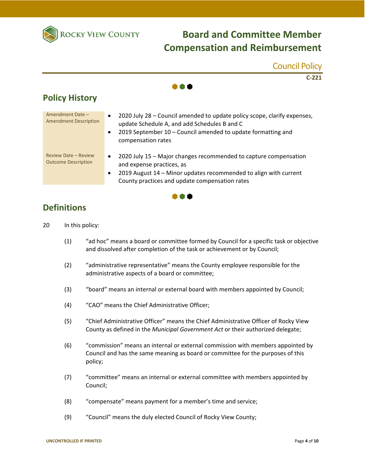

Council Policy **C‐221** I A A **Policy History** Amendment Date – Amendment Date –  $\bullet$  2020 July 28 – Council amended to update policy scope, clarify expenses,<br>Amendment Description expenses, under Schodule A and odd Schodules B and C update Schedule A, and add Schedules B and C 2019 September 10 – Council amended to update formatting and compensation rates Review Date – Review

- Review Date Review  $\bullet$  2020 July 15 Major changes recommended to capture compensation Outcome Description and expense practices, as
	- 2019 August 14 Minor updates recommended to align with current County practices and update compensation rates



## **Definitions**

- 20 In this policy:
	- (1) "ad hoc" means a board or committee formed by Council for a specific task or objective and dissolved after completion of the task or achievement or by Council;
	- (2) "administrative representative" means the County employee responsible for the administrative aspects of a board or committee;
	- (3) "board" means an internal or external board with members appointed by Council;
	- (4) "CAO" means the Chief Administrative Officer;
	- (5) "Chief Administrative Officer" means the Chief Administrative Officer of Rocky View County as defined in the *Municipal Government Act* or their authorized delegate;
	- (6) "commission" means an internal or external commission with members appointed by Council and has the same meaning as board or committee for the purposes of this policy;
	- (7) "committee" means an internal or external committee with members appointed by Council;
	- (8) "compensate" means payment for a member's time and service;
	- (9) "Council" means the duly elected Council of Rocky View County;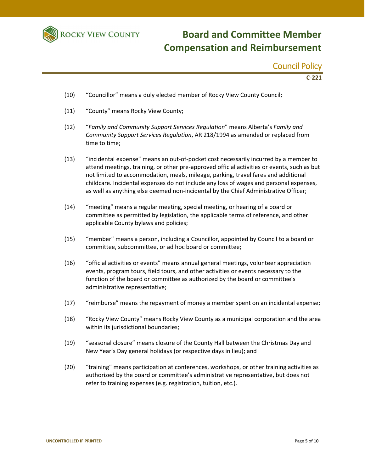

Council Policy

**C‐221**

- (10) "Councillor" means a duly elected member of Rocky View County Council;
- (11) "County" means Rocky View County;
- (12) "*Family and Community Support Services Regulation*" means Alberta's *Family and Community Support Services Regulation*, AR 218/1994 as amended or replaced from time to time;
- (13) "incidental expense" means an out‐of‐pocket cost necessarily incurred by a member to attend meetings, training, or other pre‐approved official activities or events, such as but not limited to accommodation, meals, mileage, parking, travel fares and additional childcare. Incidental expenses do not include any loss of wages and personal expenses, as well as anything else deemed non‐incidental by the Chief Administrative Officer;
- (14) "meeting" means a regular meeting, special meeting, or hearing of a board or committee as permitted by legislation, the applicable terms of reference, and other applicable County bylaws and policies;
- (15) "member" means a person, including a Councillor, appointed by Council to a board or committee, subcommittee, or ad hoc board or committee;
- (16) "official activities or events" means annual general meetings, volunteer appreciation events, program tours, field tours, and other activities or events necessary to the function of the board or committee as authorized by the board or committee's administrative representative;
- (17) "reimburse" means the repayment of money a member spent on an incidental expense;
- (18) "Rocky View County" means Rocky View County as a municipal corporation and the area within its jurisdictional boundaries;
- (19) "seasonal closure" means closure of the County Hall between the Christmas Day and New Year's Day general holidays (or respective days in lieu); and
- (20) "training" means participation at conferences, workshops, or other training activities as authorized by the board or committee's administrative representative, but does not refer to training expenses (e.g. registration, tuition, etc.).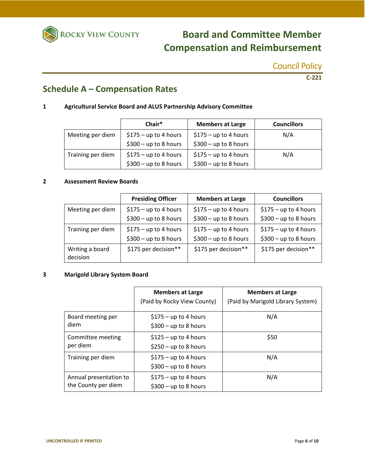

## Council Policy

**C‐221**

## **Schedule A – Compensation Rates**

### **1 Agricultural Service Board and ALUS Partnership Advisory Committee**

|                   | Chair*                 | <b>Members at Large</b> | <b>Councillors</b> |
|-------------------|------------------------|-------------------------|--------------------|
| Meeting per diem  | $$175 - up to 4 hours$ | $$175 - up to 4 hours$  | N/A                |
|                   | $$300 - up to 8 hours$ | $$300 - up to 8 hours$  |                    |
| Training per diem | $$175 - up to 4 hours$ | $$175 - up to 4 hours$  | N/A                |
|                   | $$300 - up to 8 hours$ | $$300 - up to 8 hours$  |                    |

#### **2 Assessment Review Boards**

|                                             | <b>Presiding Officer</b> | <b>Members at Large</b> | <b>Councillors</b>     |
|---------------------------------------------|--------------------------|-------------------------|------------------------|
| Meeting per diem                            | $$175 - up to 4 hours$   | $$175 - up to 4 hours$  | $$175 - up to 4 hours$ |
|                                             | $$300 - up to 8 hours$   | $$300 - up to 8 hours$  | $$300 - up to 8 hours$ |
| Training per diem<br>$$175 - up to 4 hours$ |                          | $$175 - up to 4 hours$  | $$175 - up to 4 hours$ |
|                                             | $$300 - up to 8 hours$   | $$300 - up to 8 hours$  | $$300 - up to 8 hours$ |
| Writing a board<br>decision                 | \$175 per decision**     | \$175 per decision**    | \$175 per decision**   |

#### **3 Marigold Library System Board**

|                                               | <b>Members at Large</b><br>(Paid by Rocky View County) | <b>Members at Large</b><br>(Paid by Marigold Library System) |
|-----------------------------------------------|--------------------------------------------------------|--------------------------------------------------------------|
| Board meeting per<br>diem                     | $$175 - up to 4 hours$<br>$$300 - up to 8 hours$       | N/A                                                          |
| Committee meeting<br>per diem                 | $$125 - up to 4 hours$<br>$$250 - up to 8 hours$       | \$50                                                         |
| Training per diem                             | $$175 - up to 4 hours$<br>$$300 - up to 8 hours$       | N/A                                                          |
| Annual presentation to<br>the County per diem | $$175 - up to 4 hours$<br>$$300 - up to 8 hours$       | N/A                                                          |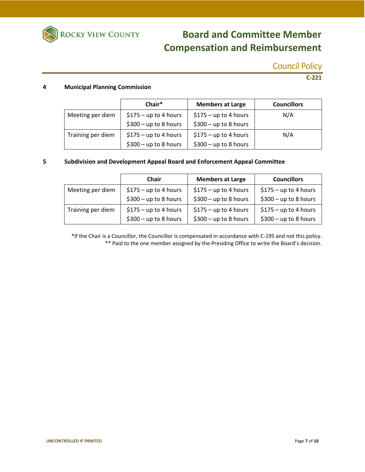

Council Policy

**C‐221**

#### **4 Municipal Planning Commission**

|                   | Chair*                 | <b>Members at Large</b> | <b>Councillors</b> |
|-------------------|------------------------|-------------------------|--------------------|
| Meeting per diem  | $$175 - up to 4 hours$ | $$175 - up to 4 hours$  | N/A                |
|                   | $$300 - up to 8 hours$ | $$300 - up to 8 hours$  |                    |
| Training per diem | $$175 - up to 4 hours$ | $$175 - up to 4 hours$  | N/A                |
|                   | $$300 - up to 8 hours$ | $$300 - up to 8 hours$  |                    |

#### **5 Subdivision and Development Appeal Board and Enforcement Appeal Committee**

|                   | Chair                  | <b>Members at Large</b> | <b>Councillors</b>     |
|-------------------|------------------------|-------------------------|------------------------|
| Meeting per diem  | $$175 - up to 4 hours$ | $$175 - up to 4 hours$  | $$175 - up to 4 hours$ |
|                   | $$300 - up to 8 hours$ | $$300 - up to 8 hours$  | $$300 - up to 8 hours$ |
| Training per diem | $$175 - up to 4 hours$ | $$175 - up to 4 hours$  | $$175 - up to 4 hours$ |
|                   | $$300 - up to 8 hours$ | $$300 - up to 8 hours$  | $$300 - up to 8 hours$ |

\*If the Chair is a Councillor, the Councillor is compensated in accordance with C‐195 and not this policy. \*\* Paid to the one member assigned by the Presiding Office to write the Board's decision.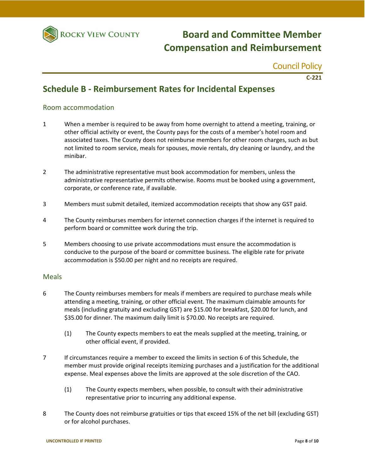

### Council Policy

**C‐221**

## **Schedule B ‐ Reimbursement Rates for Incidental Expenses**

#### Room accommodation

- 1 When a member is required to be away from home overnight to attend a meeting, training, or other official activity or event, the County pays for the costs of a member's hotel room and associated taxes. The County does not reimburse members for other room charges, such as but not limited to room service, meals for spouses, movie rentals, dry cleaning or laundry, and the minibar.
- 2 The administrative representative must book accommodation for members, unless the administrative representative permits otherwise. Rooms must be booked using a government, corporate, or conference rate, if available.
- 3 Members must submit detailed, itemized accommodation receipts that show any GST paid.
- 4 The County reimburses members for internet connection charges if the internet is required to perform board or committee work during the trip.
- 5 Members choosing to use private accommodations must ensure the accommodation is conducive to the purpose of the board or committee business. The eligible rate for private accommodation is \$50.00 per night and no receipts are required.

#### **Meals**

- 6 The County reimburses members for meals if members are required to purchase meals while attending a meeting, training, or other official event. The maximum claimable amounts for meals (including gratuity and excluding GST) are \$15.00 for breakfast, \$20.00 for lunch, and \$35.00 for dinner. The maximum daily limit is \$70.00. No receipts are required.
	- (1) The County expects members to eat the meals supplied at the meeting, training, or other official event, if provided.
- 7 If circumstances require a member to exceed the limits in section 6 of this Schedule, the member must provide original receipts itemizing purchases and a justification for the additional expense. Meal expenses above the limits are approved at the sole discretion of the CAO.
	- (1) The County expects members, when possible, to consult with their administrative representative prior to incurring any additional expense.
- 8 The County does not reimburse gratuities or tips that exceed 15% of the net bill (excluding GST) or for alcohol purchases.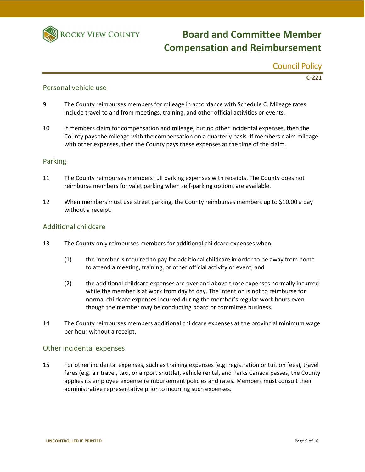

Council Policy

**C‐221**

#### Personal vehicle use

- 9 The County reimburses members for mileage in accordance with Schedule C. Mileage rates include travel to and from meetings, training, and other official activities or events.
- 10 If members claim for compensation and mileage, but no other incidental expenses, then the County pays the mileage with the compensation on a quarterly basis. If members claim mileage with other expenses, then the County pays these expenses at the time of the claim.

#### Parking

- 11 The County reimburses members full parking expenses with receipts. The County does not reimburse members for valet parking when self‐parking options are available.
- 12 When members must use street parking, the County reimburses members up to \$10.00 a day without a receipt.

#### Additional childcare

- 13 The County only reimburses members for additional childcare expenses when
	- (1) the member is required to pay for additional childcare in order to be away from home to attend a meeting, training, or other official activity or event; and
	- (2) the additional childcare expenses are over and above those expenses normally incurred while the member is at work from day to day. The intention is not to reimburse for normal childcare expenses incurred during the member's regular work hours even though the member may be conducting board or committee business.
- 14 The County reimburses members additional childcare expenses at the provincial minimum wage per hour without a receipt.

#### Other incidental expenses

15 For other incidental expenses, such as training expenses (e.g. registration or tuition fees), travel fares (e.g. air travel, taxi, or airport shuttle), vehicle rental, and Parks Canada passes, the County applies its employee expense reimbursement policies and rates. Members must consult their administrative representative prior to incurring such expenses.